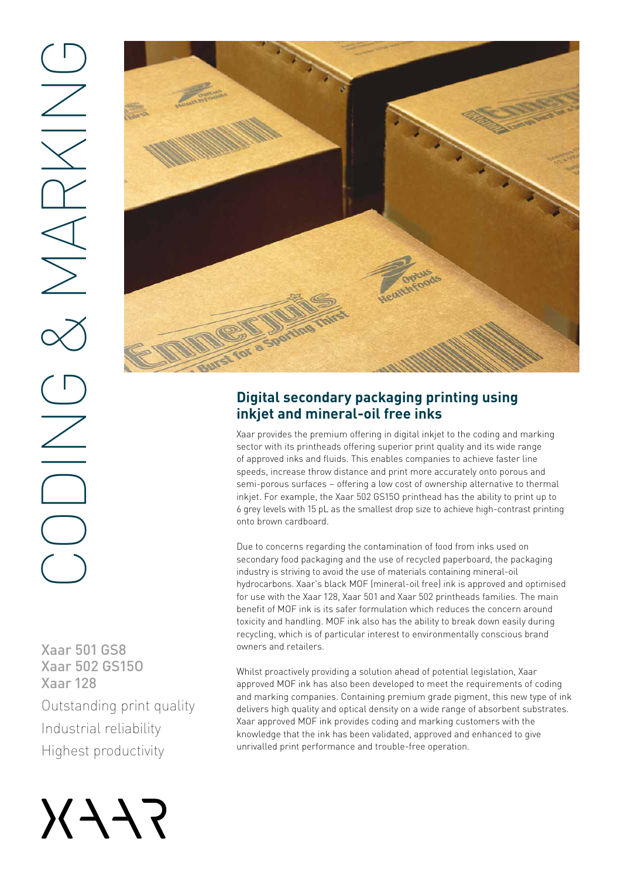





## **Digital secondary packaging printing using inkjet and mineral-oil free inks**

Xaar provides the premium offering in digital inkjet to the coding and marking sector with its printheads offering superior print quality and its wide range of approved inks and fluids. This enables companies to achieve faster line speeds, increase throw distance and print more accurately onto porous and semi-porous surfaces – offering a low cost of ownership alternative to thermal inkjet. For example, the Xaar 502 GS15O printhead has the ability to print up to 6 grey levels with 15 pL as the smallest drop size to achieve high-contrast printing onto brown cardboard.

Due to concerns regarding the contamination of food from inks used on secondary food packaging and the use of recycled paperboard, the packaging industry is striving to avoid the use of materials containing mineral-oil hydrocarbons. Xaar's black MOF (mineral-oil free) ink is approved and optimised for use with the Xaar 128, Xaar 501 and Xaar 502 printheads families. The main benefit of MOF ink is its safer formulation which reduces the concern around toxicity and handling. MOF ink also has the ability to break down easily during recycling, which is of particular interest to environmentally conscious brand owners and retailers.

Whilst proactively providing a solution ahead of potential legislation, Xaar approved MOF ink has also been developed to meet the requirements of coding and marking companies. Containing premium grade pigment, this new type of ink delivers high quality and optical density on a wide range of absorbent substrates. Xaar approved MOF ink provides coding and marking customers with the knowledge that the ink has been validated, approved and enhanced to give unrivalled print performance and trouble-free operation.